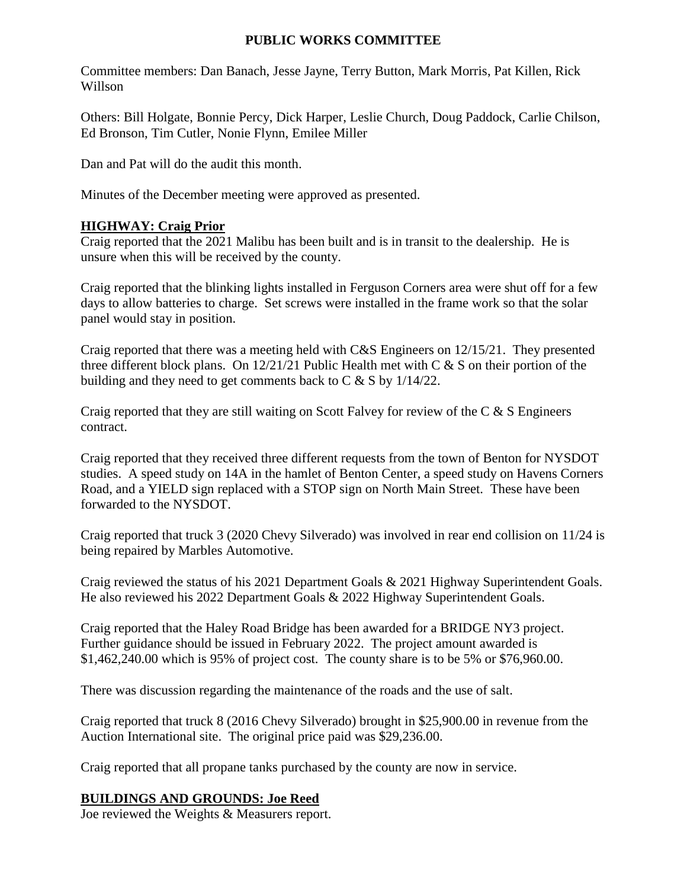## **PUBLIC WORKS COMMITTEE**

Committee members: Dan Banach, Jesse Jayne, Terry Button, Mark Morris, Pat Killen, Rick Willson

Others: Bill Holgate, Bonnie Percy, Dick Harper, Leslie Church, Doug Paddock, Carlie Chilson, Ed Bronson, Tim Cutler, Nonie Flynn, Emilee Miller

Dan and Pat will do the audit this month.

Minutes of the December meeting were approved as presented.

## **HIGHWAY: Craig Prior**

Craig reported that the 2021 Malibu has been built and is in transit to the dealership. He is unsure when this will be received by the county.

Craig reported that the blinking lights installed in Ferguson Corners area were shut off for a few days to allow batteries to charge. Set screws were installed in the frame work so that the solar panel would stay in position.

Craig reported that there was a meeting held with C&S Engineers on 12/15/21. They presented three different block plans. On  $12/21/21$  Public Health met with C & S on their portion of the building and they need to get comments back to C & S by 1/14/22.

Craig reported that they are still waiting on Scott Falvey for review of the C & S Engineers contract.

Craig reported that they received three different requests from the town of Benton for NYSDOT studies. A speed study on 14A in the hamlet of Benton Center, a speed study on Havens Corners Road, and a YIELD sign replaced with a STOP sign on North Main Street. These have been forwarded to the NYSDOT.

Craig reported that truck 3 (2020 Chevy Silverado) was involved in rear end collision on 11/24 is being repaired by Marbles Automotive.

Craig reviewed the status of his 2021 Department Goals & 2021 Highway Superintendent Goals. He also reviewed his 2022 Department Goals & 2022 Highway Superintendent Goals.

Craig reported that the Haley Road Bridge has been awarded for a BRIDGE NY3 project. Further guidance should be issued in February 2022. The project amount awarded is \$1,462,240.00 which is 95% of project cost. The county share is to be 5% or \$76,960.00.

There was discussion regarding the maintenance of the roads and the use of salt.

Craig reported that truck 8 (2016 Chevy Silverado) brought in \$25,900.00 in revenue from the Auction International site. The original price paid was \$29,236.00.

Craig reported that all propane tanks purchased by the county are now in service.

## **BUILDINGS AND GROUNDS: Joe Reed**

Joe reviewed the Weights & Measurers report.